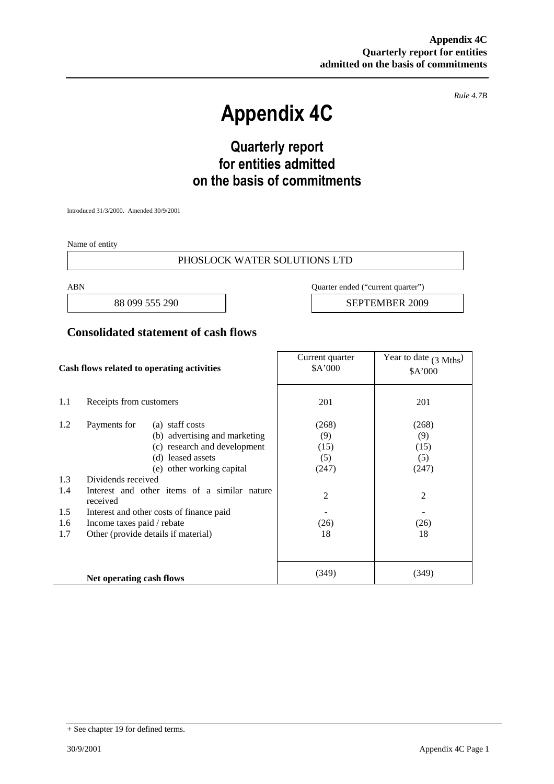*Rule 4.7B*

# **Appendix 4C**

# **Quarterly report for entities admitted on the basis of commitments**

Introduced 31/3/2000. Amended 30/9/2001

Name of entity

#### PHOSLOCK WATER SOLUTIONS LTD

ABN Quarter ended ("current quarter")

88 099 555 290 **SEPTEMBER 2009** 

### **Consolidated statement of cash flows**

| Cash flows related to operating activities |                                                          | Current quarter<br>\$A'000          | Year to date $(3 \text{ Mths})$<br>\$A'000 |                |
|--------------------------------------------|----------------------------------------------------------|-------------------------------------|--------------------------------------------|----------------|
| 1.1                                        | Receipts from customers                                  |                                     | 201                                        | 201            |
| 1.2                                        | Payments for                                             | (a) staff costs                     | (268)                                      | (268)          |
|                                            |                                                          | (b) advertising and marketing       | (9)                                        | (9)            |
|                                            |                                                          | (c) research and development        | (15)                                       | (15)           |
|                                            |                                                          | (d) leased assets                   | (5)                                        | (5)            |
|                                            |                                                          | (e) other working capital           | (247)                                      | (247)          |
| 1.3                                        | Dividends received                                       |                                     |                                            |                |
| 1.4                                        | Interest and other items of a similar nature<br>received |                                     | $\overline{c}$                             | $\overline{2}$ |
| 1.5                                        | Interest and other costs of finance paid                 |                                     |                                            |                |
| 1.6                                        | Income taxes paid / rebate                               |                                     | (26)                                       | (26)           |
| 1.7                                        |                                                          | Other (provide details if material) | 18                                         | 18             |
|                                            |                                                          |                                     |                                            |                |
|                                            | Net operating cash flows                                 |                                     | (349)                                      | (349)          |

<sup>+</sup> See chapter 19 for defined terms.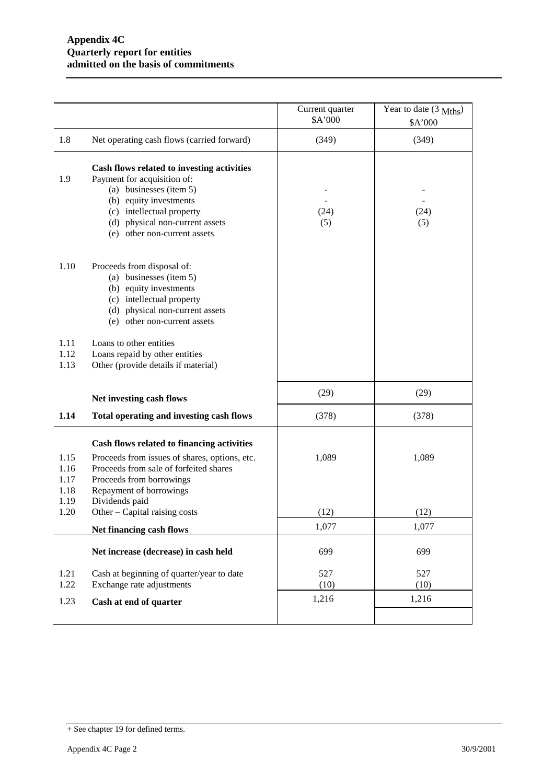|                                      |                                                                                                                                                                                                                                | Current quarter<br>\$A'000 | Year to date $(3 \text{ Mths})$<br>\$A'000 |
|--------------------------------------|--------------------------------------------------------------------------------------------------------------------------------------------------------------------------------------------------------------------------------|----------------------------|--------------------------------------------|
| 1.8                                  | Net operating cash flows (carried forward)                                                                                                                                                                                     | (349)                      | (349)                                      |
| 1.9                                  | Cash flows related to investing activities<br>Payment for acquisition of:<br>(a) businesses (item 5)<br>(b) equity investments<br>(c) intellectual property<br>(d) physical non-current assets<br>(e) other non-current assets | (24)<br>(5)                | (24)<br>(5)                                |
| 1.10                                 | Proceeds from disposal of:<br>(a) businesses (item 5)<br>(b) equity investments<br>(c) intellectual property<br>(d) physical non-current assets<br>(e) other non-current assets                                                |                            |                                            |
| 1.11<br>1.12<br>1.13                 | Loans to other entities<br>Loans repaid by other entities<br>Other (provide details if material)                                                                                                                               |                            |                                            |
|                                      | Net investing cash flows                                                                                                                                                                                                       | (29)                       | (29)                                       |
| 1.14                                 | Total operating and investing cash flows                                                                                                                                                                                       | (378)                      | (378)                                      |
| 1.15<br>1.16<br>1.17<br>1.18<br>1.19 | Cash flows related to financing activities<br>Proceeds from issues of shares, options, etc.<br>Proceeds from sale of forfeited shares<br>Proceeds from borrowings<br>Repayment of borrowings<br>Dividends paid                 | 1,089                      | 1,089                                      |
| 1.20                                 | Other – Capital raising costs                                                                                                                                                                                                  | (12)                       | (12)                                       |
|                                      | Net financing cash flows                                                                                                                                                                                                       | 1,077                      | 1,077                                      |
|                                      | Net increase (decrease) in cash held                                                                                                                                                                                           | 699                        | 699                                        |
| 1.21                                 | Cash at beginning of quarter/year to date                                                                                                                                                                                      | 527                        | 527                                        |
| 1.22                                 | Exchange rate adjustments                                                                                                                                                                                                      | (10)<br>1,216              | (10)<br>1,216                              |
| 1.23                                 | Cash at end of quarter                                                                                                                                                                                                         |                            |                                            |
|                                      |                                                                                                                                                                                                                                |                            |                                            |

<sup>+</sup> See chapter 19 for defined terms.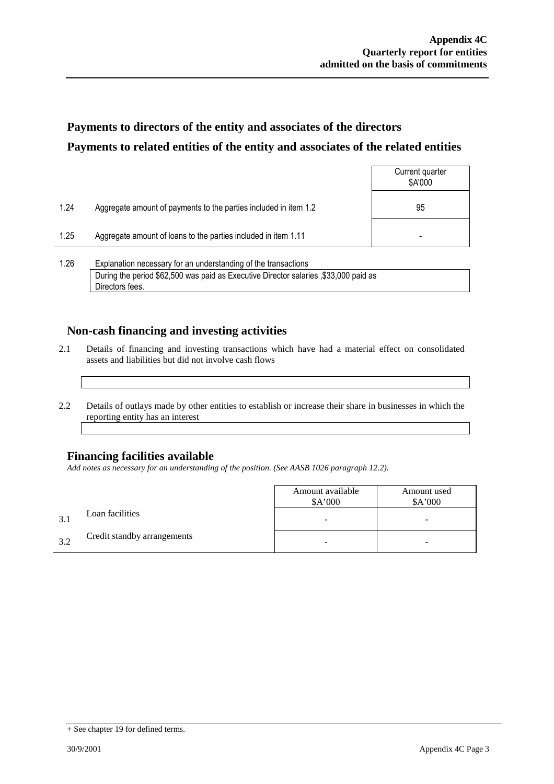## **Payments to directors of the entity and associates of the directors Payments to related entities of the entity and associates of the related entities**

|            |                                                                  | Current quarter<br>\$A'000 |
|------------|------------------------------------------------------------------|----------------------------|
| 1.24       | Aggregate amount of payments to the parties included in item 1.2 | 95                         |
| 1.25       | Aggregate amount of loans to the parties included in item 1.11   |                            |
| $\sqrt{2}$ |                                                                  |                            |

1.26 Explanation necessary for an understanding of the transactions During the period \$62,500 was paid as Executive Director salaries ,\$33,000 paid as Directors fees.

### **Non-cash financing and investing activities**

- 2.1 Details of financing and investing transactions which have had a material effect on consolidated assets and liabilities but did not involve cash flows
- 2.2 Details of outlays made by other entities to establish or increase their share in businesses in which the reporting entity has an interest

### **Financing facilities available**

*Add notes as necessary for an understanding of the position. (See AASB 1026 paragraph 12.2).*

|              |                             | Amount available<br>\$A'000 | Amount used<br>\$A'000 |
|--------------|-----------------------------|-----------------------------|------------------------|
| $\mathbf{R}$ | Loan facilities             | -                           | -                      |
| 32           | Credit standby arrangements |                             | -                      |

<sup>+</sup> See chapter 19 for defined terms.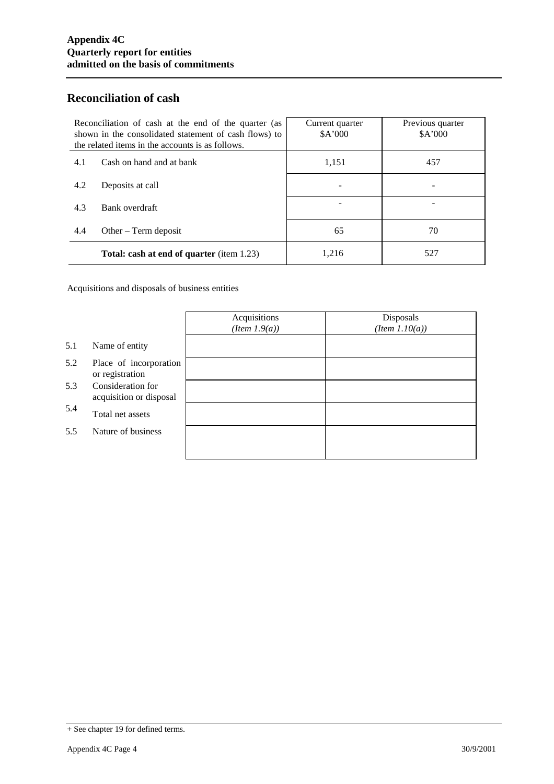### **Reconciliation of cash**

| Reconciliation of cash at the end of the quarter (as<br>shown in the consolidated statement of cash flows) to<br>the related items in the accounts is as follows. |                                                  | Current quarter<br>\$A'000 | Previous quarter<br>\$A'000 |
|-------------------------------------------------------------------------------------------------------------------------------------------------------------------|--------------------------------------------------|----------------------------|-----------------------------|
| 4.1                                                                                                                                                               | Cash on hand and at bank                         | 1,151                      | 457                         |
| 4.2                                                                                                                                                               | Deposits at call                                 |                            |                             |
| 4.3                                                                                                                                                               | Bank overdraft                                   |                            |                             |
| 4.4                                                                                                                                                               | Other $-$ Term deposit                           | 65                         | 70                          |
|                                                                                                                                                                   | <b>Total: cash at end of quarter</b> (item 1.23) | 1,216                      | 527                         |

Acquisitions and disposals of business entities

|     |                                              | Acquisitions<br>(Item 1.9(a)) | Disposals<br>$(Item\ 1.10(a))$ |
|-----|----------------------------------------------|-------------------------------|--------------------------------|
| 5.1 | Name of entity                               |                               |                                |
| 5.2 | Place of incorporation<br>or registration    |                               |                                |
| 5.3 | Consideration for<br>acquisition or disposal |                               |                                |
| 5.4 | Total net assets                             |                               |                                |
| 5.5 | Nature of business                           |                               |                                |
|     |                                              |                               |                                |

<sup>+</sup> See chapter 19 for defined terms.